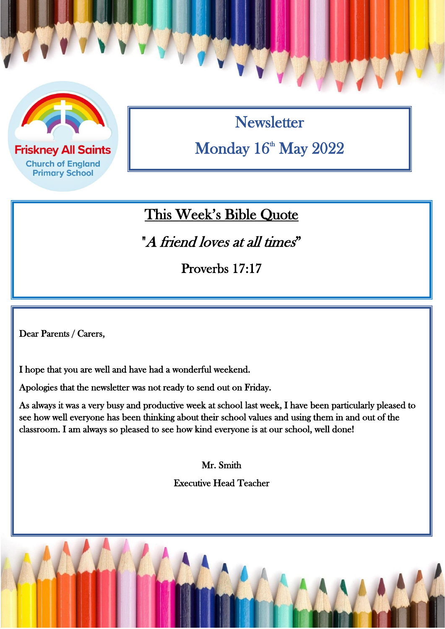

**Friskney All Saints Church of England Primary School** 

**Newsletter** Monday  $16^{\text{\tiny th}}$  May  $2022$ 

## This Week's Bible Quote

"A friend loves at all times"

Proverbs 17:17

 $\overline{a}$ 

Dear Parents / Carers,

I hope that you are well and have had a wonderful weekend.

Apologies that the newsletter was not ready to send out on Friday.

As always it was a very busy and productive week at school last week, I have been particularly pleased to see how well everyone has been thinking about their school values and using them in and out of the classroom. I am always so pleased to see how kind everyone is at our school, well done!

Mr. Smith

Executive Head Teacher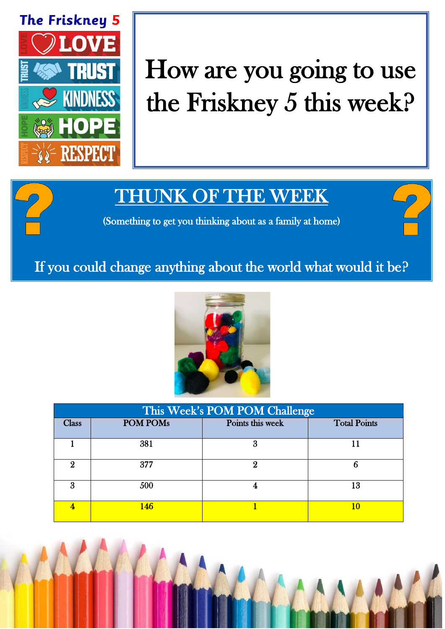

## How are you going to use the Friskney 5 this week?

## THUNK OF THE WEEK

(Something to get you thinking about as a family at home)

If you could change anything about the world what would it be?



| This Week's POM POM Challenge |                 |                  |                     |  |
|-------------------------------|-----------------|------------------|---------------------|--|
| <b>Class</b>                  | <b>POM POMs</b> | Points this week | <b>Total Points</b> |  |
|                               | 381             | 3                |                     |  |
| 9.                            | 377             |                  | h                   |  |
| 3                             | 500             |                  | 13                  |  |
|                               | 146             |                  | 10                  |  |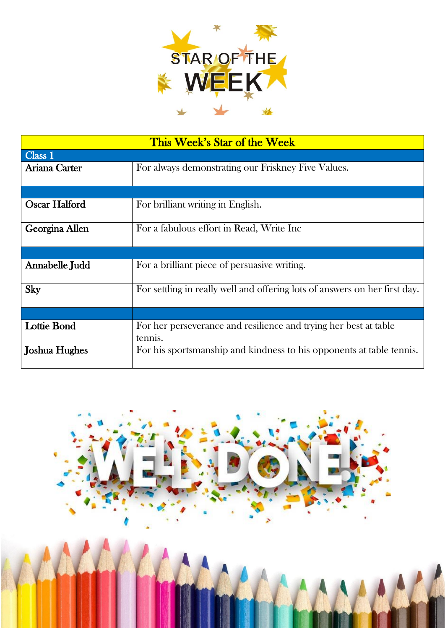

| This Week's Star of the Week |                                                                            |  |  |  |
|------------------------------|----------------------------------------------------------------------------|--|--|--|
| Class 1                      |                                                                            |  |  |  |
| Ariana Carter                | For always demonstrating our Friskney Five Values.                         |  |  |  |
|                              |                                                                            |  |  |  |
|                              |                                                                            |  |  |  |
| Oscar Halford                | For brilliant writing in English.                                          |  |  |  |
| Georgina Allen               | For a fabulous effort in Read, Write Inc.                                  |  |  |  |
|                              |                                                                            |  |  |  |
|                              |                                                                            |  |  |  |
| Annabelle Judd               | For a brilliant piece of persuasive writing.                               |  |  |  |
|                              |                                                                            |  |  |  |
| <b>Sky</b>                   | For settling in really well and offering lots of answers on her first day. |  |  |  |
|                              |                                                                            |  |  |  |
|                              |                                                                            |  |  |  |
| <b>Lottie Bond</b>           | For her perseverance and resilience and trying her best at table           |  |  |  |
|                              | tennis.                                                                    |  |  |  |
| Joshua Hughes                | For his sportsmanship and kindness to his opponents at table tennis.       |  |  |  |
|                              |                                                                            |  |  |  |

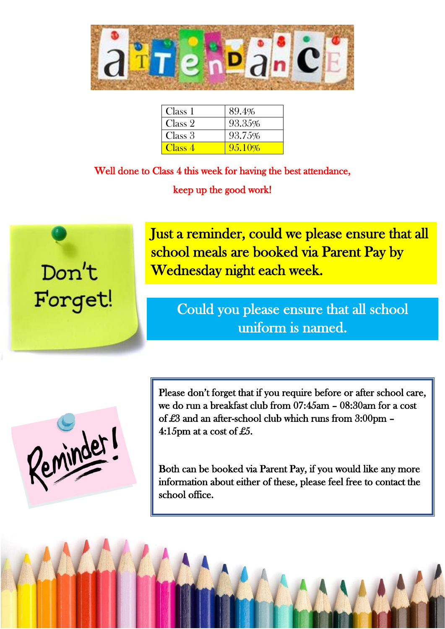

| Class 1 | 89.4%  |
|---------|--------|
| Class 2 | 93.35% |
| Class 3 | 93.75% |
| Class 4 | 95.10% |

Well done to Class 4 this week for having the best attendance, keep up the good work!

 $\overline{a}$ 



Just a reminder, could we please ensure that all school meals are booked via Parent Pay by Wednesday night each week.

Could you please ensure that all school uniform is named.

Reminder

Please don't forget that if you require before or after school care, we do run a breakfast club from 07:45am – 08:30am for a cost of £3 and an after-school club which runs from 3:00pm – 4:15pm at a cost of £5.

Both can be booked via Parent Pay, if you would like any more information about either of these, please feel free to contact the school office.